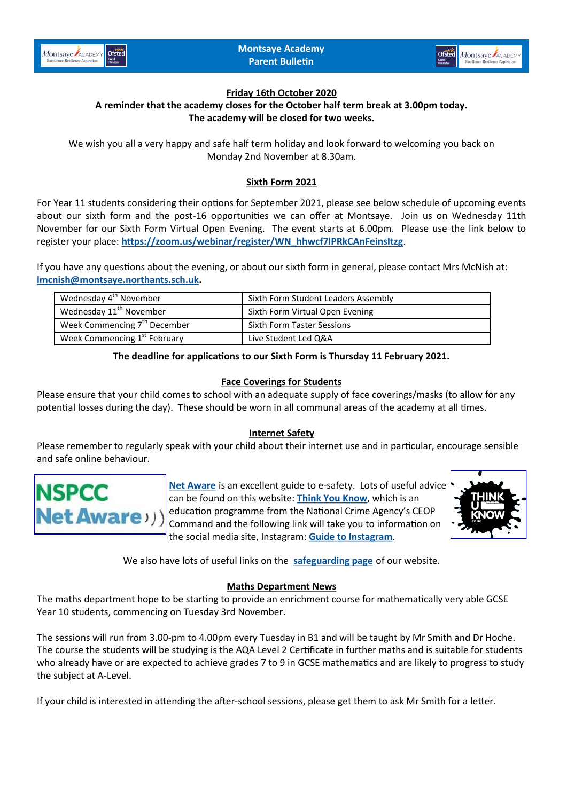



## **Friday 16th October 2020**

## **A reminder that the academy closes for the October half term break at 3.00pm today. The academy will be closed for two weeks.**

We wish you all a very happy and safe half term holiday and look forward to welcoming you back on Monday 2nd November at 8.30am.

# **Sixth Form 2021**

For Year 11 students considering their options for September 2021, please see below schedule of upcoming events about our sixth form and the post-16 opportunities we can offer at Montsaye. Join us on Wednesday 11th November for our Sixth Form Virtual Open Evening. The event starts at 6.00pm. Please use the link below to register your place: **[https://zoom.us/webinar/register/WN\\_hhwcf7lPRkCAnFeinsItzg](https://zoom.us/webinar/register/WN_hhwcf7lPRkCAnFeinsItzg)**.

If you have any questions about the evening, or about our sixth form in general, please contact Mrs McNish at: **[lmcnish@montsaye.northants.sch.uk.](mailto:lmcnish@montsaye.northants.sch.uk)**

| Wednesday 4 <sup>th</sup> November       | Sixth Form Student Leaders Assembly |
|------------------------------------------|-------------------------------------|
| Wednesday 11 <sup>th</sup> November      | Sixth Form Virtual Open Evening     |
| Week Commencing 7 <sup>th</sup> December | <b>Sixth Form Taster Sessions</b>   |
| Week Commencing 1 <sup>st</sup> February | Live Student Led Q&A                |

#### **The deadline for applications to our Sixth Form is Thursday 11 February 2021.**

## **Face Coverings for Students**

Please ensure that your child comes to school with an adequate supply of face coverings/masks (to allow for any potential losses during the day). These should be worn in all communal areas of the academy at all times.

#### **Internet Safety**

Please remember to regularly speak with your child about their internet use and in particular, encourage sensible and safe online behaviour.



**[Net Aware](https://www.net-aware.org.uk/)** is an excellent guide to e-safety. Lots of useful advice can be found on this website: **[Think You Know](https://www.thinkuknow.co.uk/parents)**, which is an education programme from the National Crime Agency's CEOP Command and the following link will take you to information on the social media site, Instagram: **[Guide to Instagram](https://www.internetmatters.org/wp-content/uploads/2019/04/Instagram-how-to-guide-compressed.pdf)**.



We also have lots of useful links on the **[safeguarding page](https://www.montsaye.northants.sch.uk/parents/safeguarding/)** of our website.

#### **Maths Department News**

The maths department hope to be starting to provide an enrichment course for mathematically very able GCSE Year 10 students, commencing on Tuesday 3rd November.

The sessions will run from 3.00-pm to 4.00pm every Tuesday in B1 and will be taught by Mr Smith and Dr Hoche. The course the students will be studying is the AQA Level 2 Certificate in further maths and is suitable for students who already have or are expected to achieve grades 7 to 9 in GCSE mathematics and are likely to progress to study the subject at A-Level.

If your child is interested in attending the after-school sessions, please get them to ask Mr Smith for a letter.